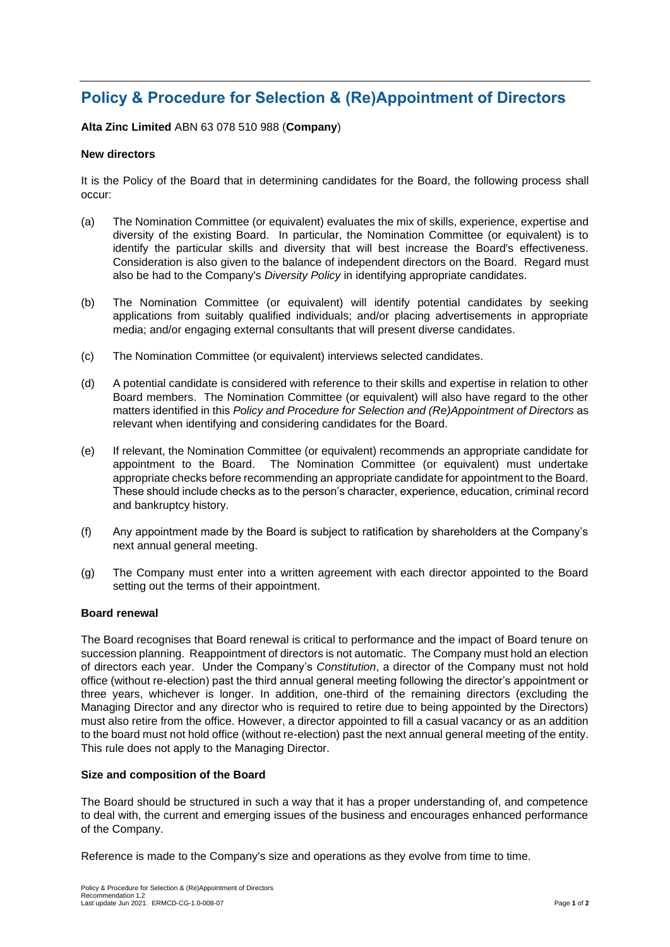# **Policy & Procedure for Selection & (Re)Appointment of Directors**

# **Alta Zinc Limited** ABN 63 078 510 988 (**Company**)

## **New directors**

It is the Policy of the Board that in determining candidates for the Board, the following process shall occur:

- (a) The Nomination Committee (or equivalent) evaluates the mix of skills, experience, expertise and diversity of the existing Board. In particular, the Nomination Committee (or equivalent) is to identify the particular skills and diversity that will best increase the Board's effectiveness. Consideration is also given to the balance of independent directors on the Board. Regard must also be had to the Company's *Diversity Policy* in identifying appropriate candidates.
- (b) The Nomination Committee (or equivalent) will identify potential candidates by seeking applications from suitably qualified individuals; and/or placing advertisements in appropriate media; and/or engaging external consultants that will present diverse candidates.
- (c) The Nomination Committee (or equivalent) interviews selected candidates.
- (d) A potential candidate is considered with reference to their skills and expertise in relation to other Board members. The Nomination Committee (or equivalent) will also have regard to the other matters identified in this *Policy and Procedure for Selection and (Re)Appointment of Directors* as relevant when identifying and considering candidates for the Board.
- (e) If relevant, the Nomination Committee (or equivalent) recommends an appropriate candidate for appointment to the Board. The Nomination Committee (or equivalent) must undertake appropriate checks before recommending an appropriate candidate for appointment to the Board. These should include checks as to the person's character, experience, education, criminal record and bankruptcy history.
- (f) Any appointment made by the Board is subject to ratification by shareholders at the Company's next annual general meeting.
- (g) The Company must enter into a written agreement with each director appointed to the Board setting out the terms of their appointment.

## **Board renewal**

The Board recognises that Board renewal is critical to performance and the impact of Board tenure on succession planning. Reappointment of directors is not automatic. The Company must hold an election of directors each year. Under the Company's *Constitution*, a director of the Company must not hold office (without re-election) past the third annual general meeting following the director's appointment or three years, whichever is longer. In addition, one-third of the remaining directors (excluding the Managing Director and any director who is required to retire due to being appointed by the Directors) must also retire from the office. However, a director appointed to fill a casual vacancy or as an addition to the board must not hold office (without re-election) past the next annual general meeting of the entity. This rule does not apply to the Managing Director.

#### **Size and composition of the Board**

The Board should be structured in such a way that it has a proper understanding of, and competence to deal with, the current and emerging issues of the business and encourages enhanced performance of the Company.

Reference is made to the Company's size and operations as they evolve from time to time.